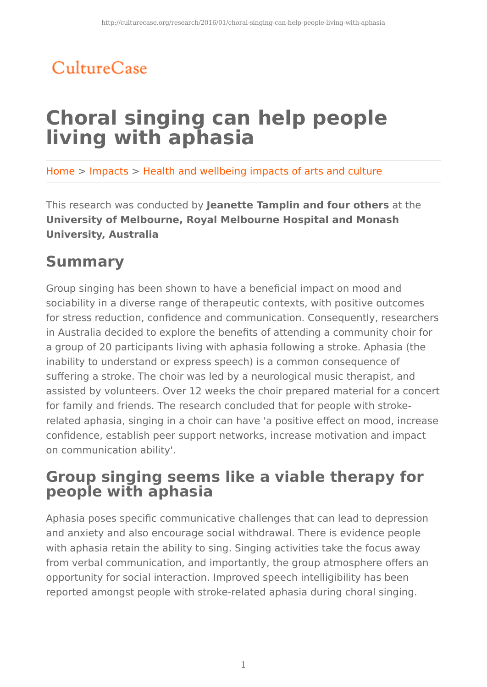## CultureCase

# **Choral singing can help people living with aphasia**

Home > Impacts > Health and wellbeing impacts of arts and culture

This research was conducted by **Jeanette Tamplin and four others** at the **University of Melbourne, Royal Melbourne Hospital and Monash University, Australia**

### **Summary**

Group singing has been shown to have a beneficial impact on mood and sociability in a diverse range of therapeutic contexts, with positive outcomes for stress reduction, confidence and communication. Consequently, researchers in Australia decided to explore the benefits of attending a community choir for a group of 20 participants living with aphasia following a stroke. Aphasia (the inability to understand or express speech) is a common consequence of suffering a stroke. The choir was led by a neurological music therapist, and assisted by volunteers. Over 12 weeks the choir prepared material for a concert for family and friends. The research concluded that for people with strokerelated aphasia, singing in a choir can have 'a positive effect on mood, increase confidence, establish peer support networks, increase motivation and impact on communication ability'.

### **Group singing seems like a viable therapy for people with aphasia**

Aphasia poses specific communicative challenges that can lead to depression and anxiety and also encourage social withdrawal. There is evidence people with aphasia retain the ability to sing. Singing activities take the focus away from verbal communication, and importantly, the group atmosphere offers an opportunity for social interaction. Improved speech intelligibility has been reported amongst people with stroke-related aphasia during choral singing.